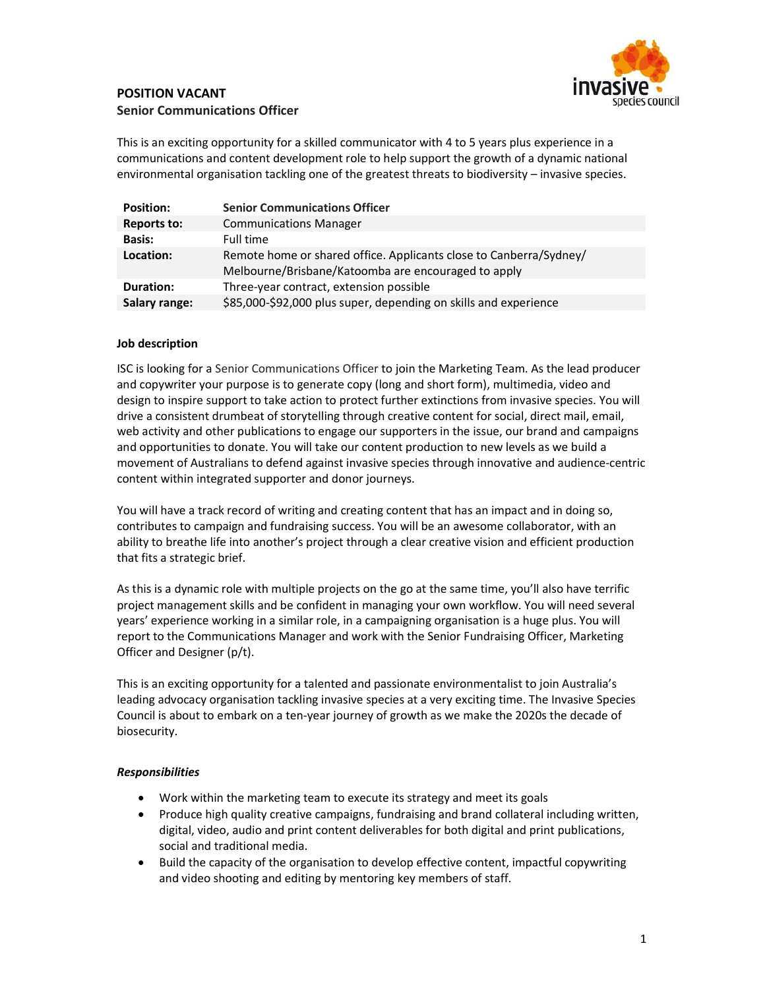

# POSITION VACANT Senior Communications Officer

This is an exciting opportunity for a skilled communicator with 4 to 5 years plus experience in a communications and content development role to help support the growth of a dynamic national environmental organisation tackling one of the greatest threats to biodiversity – invasive species.

| <b>Position:</b>   | <b>Senior Communications Officer</b>                                                                                      |
|--------------------|---------------------------------------------------------------------------------------------------------------------------|
| <b>Reports to:</b> | <b>Communications Manager</b>                                                                                             |
| <b>Basis:</b>      | Full time                                                                                                                 |
| Location:          | Remote home or shared office. Applicants close to Canberra/Sydney/<br>Melbourne/Brisbane/Katoomba are encouraged to apply |
| <b>Duration:</b>   | Three-year contract, extension possible                                                                                   |
| Salary range:      | \$85,000-\$92,000 plus super, depending on skills and experience                                                          |

## Job description

ISC is looking for a Senior Communications Officer to join the Marketing Team. As the lead producer and copywriter your purpose is to generate copy (long and short form), multimedia, video and design to inspire support to take action to protect further extinctions from invasive species. You will drive a consistent drumbeat of storytelling through creative content for social, direct mail, email, web activity and other publications to engage our supporters in the issue, our brand and campaigns and opportunities to donate. You will take our content production to new levels as we build a movement of Australians to defend against invasive species through innovative and audience-centric content within integrated supporter and donor journeys.

You will have a track record of writing and creating content that has an impact and in doing so, contributes to campaign and fundraising success. You will be an awesome collaborator, with an ability to breathe life into another's project through a clear creative vision and efficient production that fits a strategic brief.

As this is a dynamic role with multiple projects on the go at the same time, you'll also have terrific project management skills and be confident in managing your own workflow. You will need several years' experience working in a similar role, in a campaigning organisation is a huge plus. You will report to the Communications Manager and work with the Senior Fundraising Officer, Marketing Officer and Designer (p/t).

This is an exciting opportunity for a talented and passionate environmentalist to join Australia's leading advocacy organisation tackling invasive species at a very exciting time. The Invasive Species Council is about to embark on a ten-year journey of growth as we make the 2020s the decade of biosecurity.

## Responsibilities

- Work within the marketing team to execute its strategy and meet its goals
- Produce high quality creative campaigns, fundraising and brand collateral including written, digital, video, audio and print content deliverables for both digital and print publications, social and traditional media.
- Build the capacity of the organisation to develop effective content, impactful copywriting and video shooting and editing by mentoring key members of staff.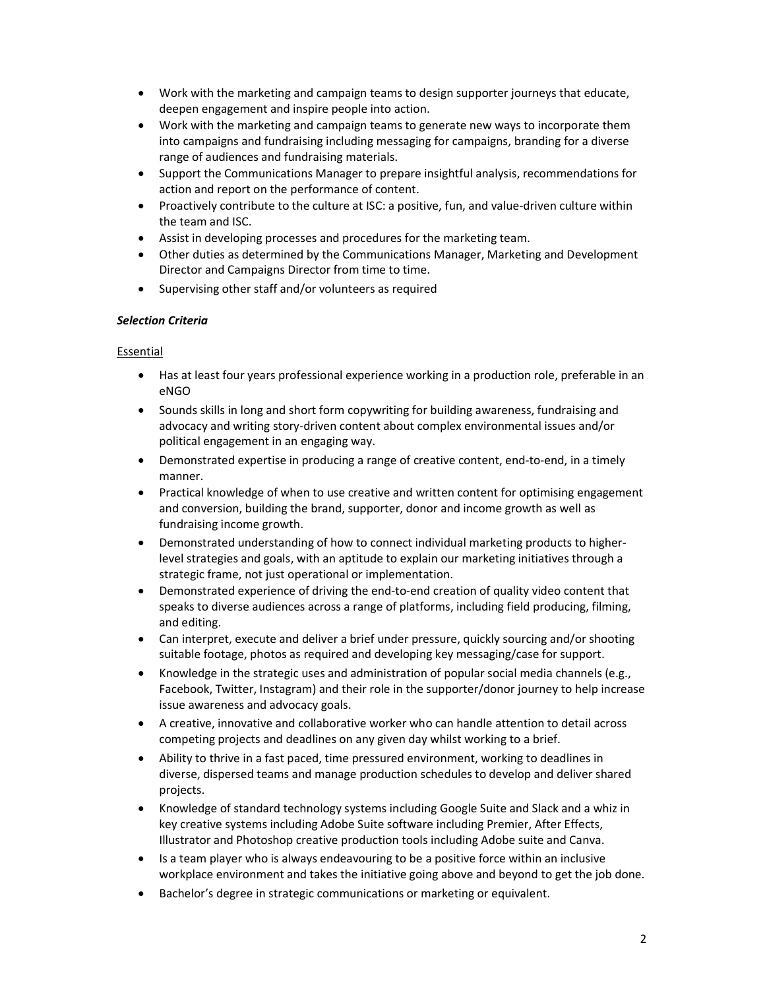- Work with the marketing and campaign teams to design supporter journeys that educate, deepen engagement and inspire people into action.
- Work with the marketing and campaign teams to generate new ways to incorporate them into campaigns and fundraising including messaging for campaigns, branding for a diverse range of audiences and fundraising materials.
- Support the Communications Manager to prepare insightful analysis, recommendations for action and report on the performance of content.
- Proactively contribute to the culture at ISC: a positive, fun, and value-driven culture within the team and ISC.
- Assist in developing processes and procedures for the marketing team.
- Other duties as determined by the Communications Manager, Marketing and Development Director and Campaigns Director from time to time.
- Supervising other staff and/or volunteers as required

### Selection Criteria

### Essential

- Has at least four years professional experience working in a production role, preferable in an eNGO
- Sounds skills in long and short form copywriting for building awareness, fundraising and advocacy and writing story-driven content about complex environmental issues and/or political engagement in an engaging way.
- Demonstrated expertise in producing a range of creative content, end-to-end, in a timely manner.
- Practical knowledge of when to use creative and written content for optimising engagement and conversion, building the brand, supporter, donor and income growth as well as fundraising income growth.
- Demonstrated understanding of how to connect individual marketing products to higherlevel strategies and goals, with an aptitude to explain our marketing initiatives through a strategic frame, not just operational or implementation.
- Demonstrated experience of driving the end-to-end creation of quality video content that speaks to diverse audiences across a range of platforms, including field producing, filming, and editing.
- Can interpret, execute and deliver a brief under pressure, quickly sourcing and/or shooting suitable footage, photos as required and developing key messaging/case for support.
- Knowledge in the strategic uses and administration of popular social media channels (e.g., Facebook, Twitter, Instagram) and their role in the supporter/donor journey to help increase issue awareness and advocacy goals.
- A creative, innovative and collaborative worker who can handle attention to detail across competing projects and deadlines on any given day whilst working to a brief.
- Ability to thrive in a fast paced, time pressured environment, working to deadlines in diverse, dispersed teams and manage production schedules to develop and deliver shared projects.
- Knowledge of standard technology systems including Google Suite and Slack and a whiz in key creative systems including Adobe Suite software including Premier, After Effects, Illustrator and Photoshop creative production tools including Adobe suite and Canva.
- Is a team player who is always endeavouring to be a positive force within an inclusive workplace environment and takes the initiative going above and beyond to get the job done.
- Bachelor's degree in strategic communications or marketing or equivalent.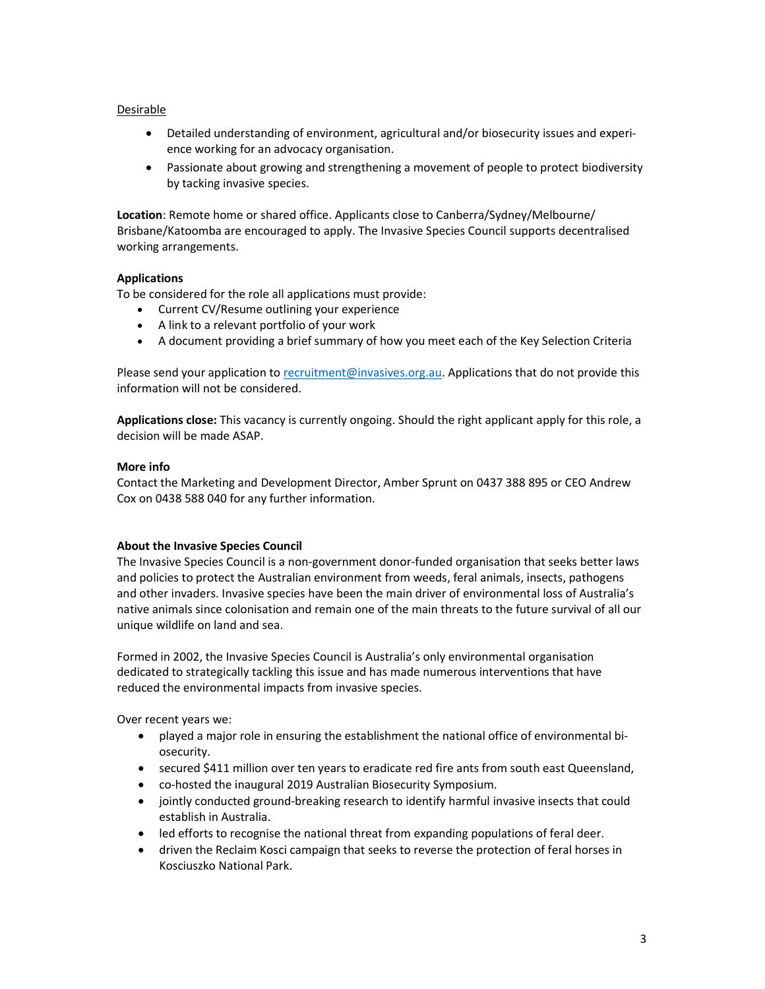#### Desirable

- Detailed understanding of environment, agricultural and/or biosecurity issues and experience working for an advocacy organisation.
- Passionate about growing and strengthening a movement of people to protect biodiversity by tacking invasive species.

Location: Remote home or shared office. Applicants close to Canberra/Sydney/Melbourne/ Brisbane/Katoomba are encouraged to apply. The Invasive Species Council supports decentralised working arrangements.

#### **Applications**

To be considered for the role all applications must provide:

- Current CV/Resume outlining your experience
- A link to a relevant portfolio of your work
- A document providing a brief summary of how you meet each of the Key Selection Criteria

Please send your application to recruitment@invasives.org.au. Applications that do not provide this information will not be considered.

Applications close: This vacancy is currently ongoing. Should the right applicant apply for this role, a decision will be made ASAP.

### More info

Contact the Marketing and Development Director, Amber Sprunt on 0437 388 895 or CEO Andrew Cox on 0438 588 040 for any further information.

#### About the Invasive Species Council

The Invasive Species Council is a non-government donor-funded organisation that seeks better laws and policies to protect the Australian environment from weeds, feral animals, insects, pathogens and other invaders. Invasive species have been the main driver of environmental loss of Australia's native animals since colonisation and remain one of the main threats to the future survival of all our unique wildlife on land and sea.

Formed in 2002, the Invasive Species Council is Australia's only environmental organisation dedicated to strategically tackling this issue and has made numerous interventions that have reduced the environmental impacts from invasive species.

Over recent years we:

- played a major role in ensuring the establishment the national office of environmental biosecurity.
- secured \$411 million over ten years to eradicate red fire ants from south east Queensland,
- co-hosted the inaugural 2019 Australian Biosecurity Symposium.
- jointly conducted ground-breaking research to identify harmful invasive insects that could establish in Australia.
- led efforts to recognise the national threat from expanding populations of feral deer.
- driven the Reclaim Kosci campaign that seeks to reverse the protection of feral horses in Kosciuszko National Park.